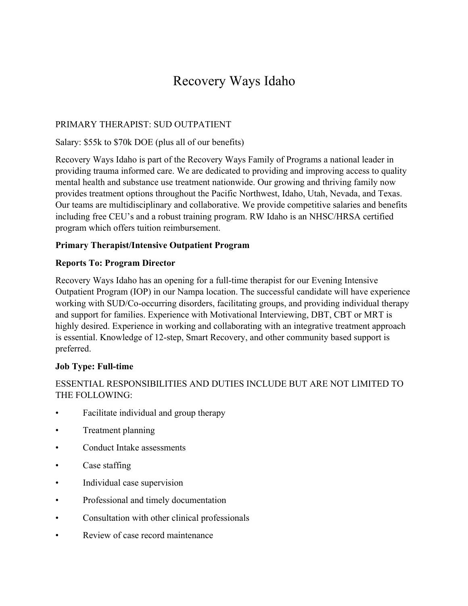# Recovery Ways Idaho

# PRIMARY THERAPIST: SUD OUTPATIENT

## Salary: \$55k to \$70k DOE (plus all of our benefits)

Recovery Ways Idaho is part of the Recovery Ways Family of Programs a national leader in providing trauma informed care. We are dedicated to providing and improving access to quality mental health and substance use treatment nationwide. Our growing and thriving family now provides treatment options throughout the Pacific Northwest, Idaho, Utah, Nevada, and Texas. Our teams are multidisciplinary and collaborative. We provide competitive salaries and benefits including free CEU's and a robust training program. RW Idaho is an NHSC/HRSA certified program which offers tuition reimbursement.

#### **Primary Therapist/Intensive Outpatient Program**

#### **Reports To: Program Director**

Recovery Ways Idaho has an opening for a full-time therapist for our Evening Intensive Outpatient Program (IOP) in our Nampa location. The successful candidate will have experience working with SUD/Co-occurring disorders, facilitating groups, and providing individual therapy and support for families. Experience with Motivational Interviewing, DBT, CBT or MRT is highly desired. Experience in working and collaborating with an integrative treatment approach is essential. Knowledge of 12-step, Smart Recovery, and other community based support is preferred.

## **Job Type: Full-time**

# ESSENTIAL RESPONSIBILITIES AND DUTIES INCLUDE BUT ARE NOT LIMITED TO THE FOLLOWING:

- Facilitate individual and group therapy
- Treatment planning
- Conduct Intake assessments
- Case staffing
- Individual case supervision
- Professional and timely documentation
- Consultation with other clinical professionals
- Review of case record maintenance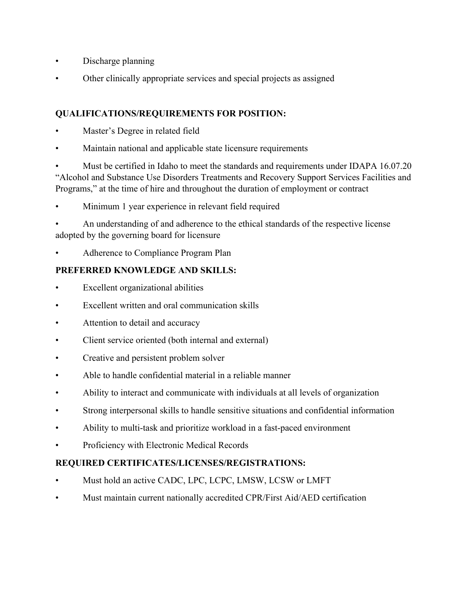- Discharge planning
- Other clinically appropriate services and special projects as assigned

# **QUALIFICATIONS/REQUIREMENTS FOR POSITION:**

- Master's Degree in related field
- Maintain national and applicable state licensure requirements

• Must be certified in Idaho to meet the standards and requirements under IDAPA 16.07.20 "Alcohol and Substance Use Disorders Treatments and Recovery Support Services Facilities and Programs," at the time of hire and throughout the duration of employment or contract

Minimum 1 year experience in relevant field required

• An understanding of and adherence to the ethical standards of the respective license adopted by the governing board for licensure

• Adherence to Compliance Program Plan

# **PREFERRED KNOWLEDGE AND SKILLS:**

- Excellent organizational abilities
- Excellent written and oral communication skills
- Attention to detail and accuracy
- Client service oriented (both internal and external)
- Creative and persistent problem solver
- Able to handle confidential material in a reliable manner
- Ability to interact and communicate with individuals at all levels of organization
- Strong interpersonal skills to handle sensitive situations and confidential information
- Ability to multi-task and prioritize workload in a fast-paced environment
- Proficiency with Electronic Medical Records

# **REQUIRED CERTIFICATES/LICENSES/REGISTRATIONS:**

- Must hold an active CADC, LPC, LCPC, LMSW, LCSW or LMFT
- Must maintain current nationally accredited CPR/First Aid/AED certification